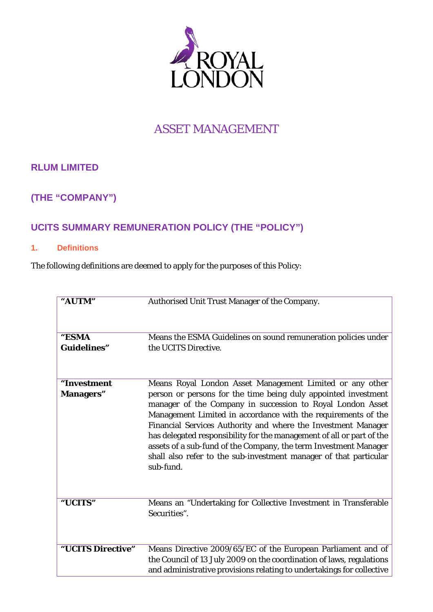

# ASSET MANAGEMENT

# **RLUM LIMITED**

# **(THE "COMPANY")**

# **UCITS SUMMARY REMUNERATION POLICY (THE "POLICY")**

### **1. Definitions**

The following definitions are deemed to apply for the purposes of this Policy:

| "AUTM"                           | Authorised Unit Trust Manager of the Company.                                                                                                                                                                                                                                                                                                                                                                                                                                                                                                             |
|----------------------------------|-----------------------------------------------------------------------------------------------------------------------------------------------------------------------------------------------------------------------------------------------------------------------------------------------------------------------------------------------------------------------------------------------------------------------------------------------------------------------------------------------------------------------------------------------------------|
| "ESMA<br><b>Guidelines"</b>      | Means the ESMA Guidelines on sound remuneration policies under<br>the UCITS Directive.                                                                                                                                                                                                                                                                                                                                                                                                                                                                    |
| "Investment<br><b>Managers</b> " | Means Royal London Asset Management Limited or any other<br>person or persons for the time being duly appointed investment<br>manager of the Company in succession to Royal London Asset<br>Management Limited in accordance with the requirements of the<br>Financial Services Authority and where the Investment Manager<br>has delegated responsibility for the management of all or part of the<br>assets of a sub-fund of the Company, the term Investment Manager<br>shall also refer to the sub-investment manager of that particular<br>sub-fund. |
| "UCITS"                          | Means an "Undertaking for Collective Investment in Transferable<br>Securities".                                                                                                                                                                                                                                                                                                                                                                                                                                                                           |
| "UCITS Directive"                | Means Directive 2009/65/EC of the European Parliament and of<br>the Council of 13 July 2009 on the coordination of laws, regulations<br>and administrative provisions relating to undertakings for collective                                                                                                                                                                                                                                                                                                                                             |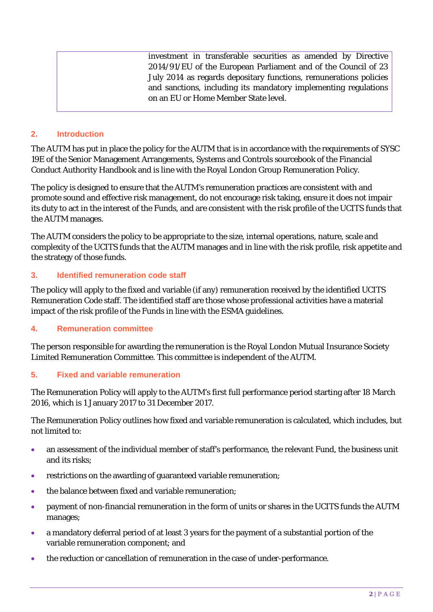investment in transferable securities as amended by Directive 2014/91/EU of the European Parliament and of the Council of 23 July 2014 as regards depositary functions, remunerations policies and sanctions, including its mandatory implementing regulations on an EU or Home Member State level.

### **2. Introduction**

The AUTM has put in place the policy for the AUTM that is in accordance with the requirements of SYSC 19E of the Senior Management Arrangements, Systems and Controls sourcebook of the Financial Conduct Authority Handbook and is line with the Royal London Group Remuneration Policy.

The policy is designed to ensure that the AUTM's remuneration practices are consistent with and promote sound and effective risk management, do not encourage risk taking, ensure it does not impair its duty to act in the interest of the Funds, and are consistent with the risk profile of the UCITS funds that the AUTM manages.

The AUTM considers the policy to be appropriate to the size, internal operations, nature, scale and complexity of the UCITS funds that the AUTM manages and in line with the risk profile, risk appetite and the strategy of those funds.

### **3. Identified remuneration code staff**

The policy will apply to the fixed and variable (if any) remuneration received by the identified UCITS Remuneration Code staff. The identified staff are those whose professional activities have a material impact of the risk profile of the Funds in line with the ESMA guidelines.

### **4. Remuneration committee**

The person responsible for awarding the remuneration is the Royal London Mutual Insurance Society Limited Remuneration Committee. This committee is independent of the AUTM.

### **5. Fixed and variable remuneration**

The Remuneration Policy will apply to the AUTM's first full performance period starting after 18 March 2016, which is 1 January 2017 to 31 December 2017.

The Remuneration Policy outlines how fixed and variable remuneration is calculated, which includes, but not limited to:

- an assessment of the individual member of staff's performance, the relevant Fund, the business unit and its risks;
- restrictions on the awarding of guaranteed variable remuneration;
- the balance between fixed and variable remuneration:
- payment of non-financial remuneration in the form of units or shares in the UCITS funds the AUTM manages;
- a mandatory deferral period of at least 3 years for the payment of a substantial portion of the variable remuneration component; and
- the reduction or cancellation of remuneration in the case of under-performance.